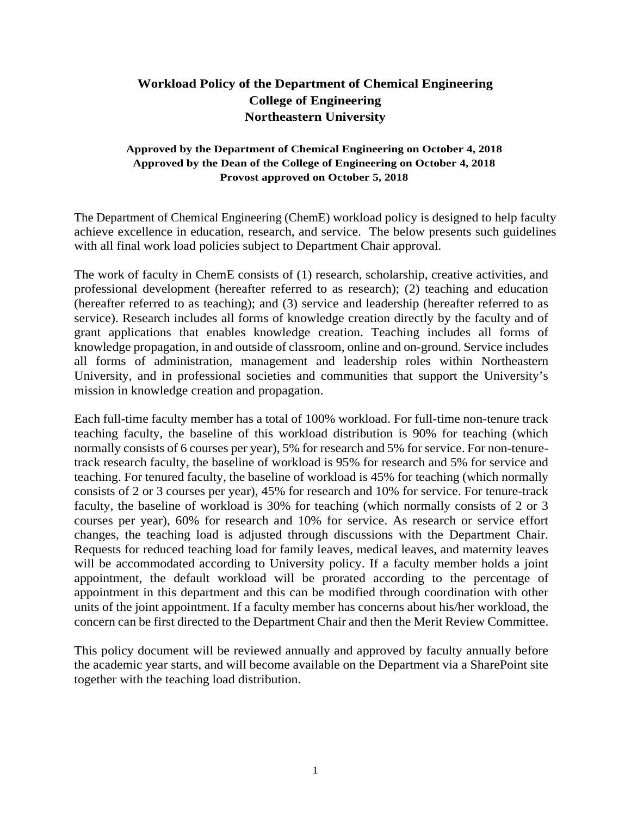## **Workload Policy of the Department of Chemical Engineering College of Engineering Northeastern University**

## **Approved by the Department of Chemical Engineering on October 4, 2018 Approved by the Dean of the College of Engineering on October 4, 2018 Provost approved on October 5, 2018**

The Department of Chemical Engineering (ChemE) workload policy is designed to help faculty achieve excellence in education, research, and service. The below presents such guidelines with all final work load policies subject to Department Chair approval.

The work of faculty in ChemE consists of (1) research, scholarship, creative activities, and professional development (hereafter referred to as research); (2) teaching and education (hereafter referred to as teaching); and (3) service and leadership (hereafter referred to as service). Research includes all forms of knowledge creation directly by the faculty and of grant applications that enables knowledge creation. Teaching includes all forms of knowledge propagation, in and outside of classroom, online and on-ground. Service includes all forms of administration, management and leadership roles within Northeastern University, and in professional societies and communities that support the University's mission in knowledge creation and propagation.

Each full-time faculty member has a total of 100% workload. For full-time non-tenure track teaching faculty, the baseline of this workload distribution is 90% for teaching (which normally consists of 6 courses per year), 5% for research and 5% for service. For non-tenuretrack research faculty, the baseline of workload is 95% for research and 5% for service and teaching. For tenured faculty, the baseline of workload is 45% for teaching (which normally consists of 2 or 3 courses per year), 45% for research and 10% for service. For tenure-track faculty, the baseline of workload is 30% for teaching (which normally consists of 2 or 3 courses per year), 60% for research and 10% for service. As research or service effort changes, the teaching load is adjusted through discussions with the Department Chair. Requests for reduced teaching load for family leaves, medical leaves, and maternity leaves will be accommodated according to University policy. If a faculty member holds a joint appointment, the default workload will be prorated according to the percentage of appointment in this department and this can be modified through coordination with other units of the joint appointment. If a faculty member has concerns about his/her workload, the concern can be first directed to the Department Chair and then the Merit Review Committee.

This policy document will be reviewed annually and approved by faculty annually before the academic year starts, and will become available on the Department via a SharePoint site together with the teaching load distribution.